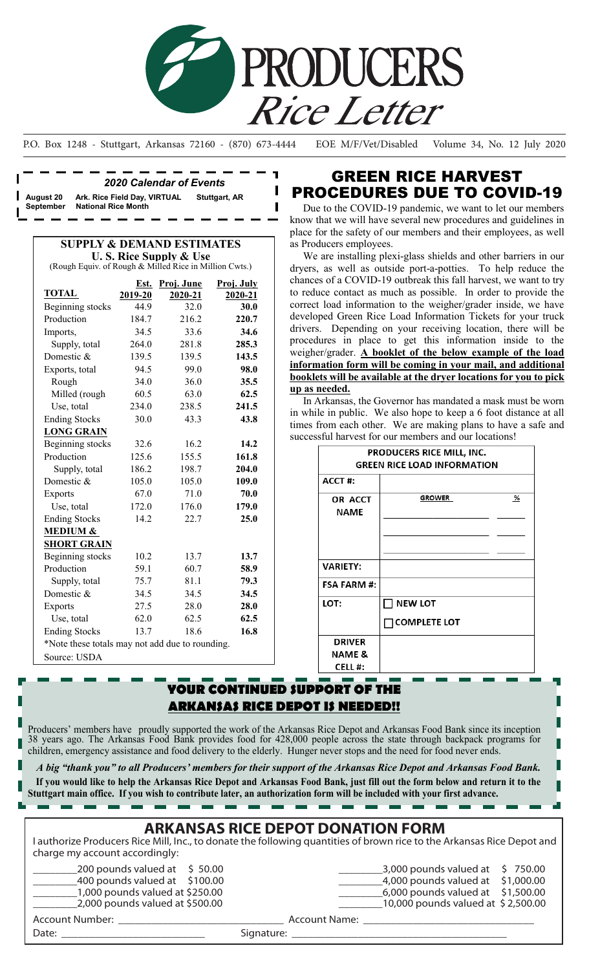

P.O. Box 1248 - Stuttgart, Arkansas 72160 - (870) 673-4444 EOE M/F/Vet/Disabled Volume 34, No. 12 July 2020

ı I

*2020 Calendar of Events* **August 20 Ark. Rice Field Day, VIRTUAL Stuttgart, AR National Rice Month** 

### **SUPPLY & DEMAND ESTIMATES U. S. Rice Supply & Use**

(Rough Equiv. of Rough & Milled Rice in Million Cwts.)

|                                                 | Est.    | Proj. June | Proj. July |  |  |  |
|-------------------------------------------------|---------|------------|------------|--|--|--|
| <b>TOTAL</b>                                    | 2019-20 | 2020-21    | 2020-21    |  |  |  |
| Beginning stocks                                | 44.9    | 32.0       | 30.0       |  |  |  |
| Production                                      | 184.7   | 216.2      | 220.7      |  |  |  |
| Imports,                                        | 34.5    | 33.6       | 34.6       |  |  |  |
| Supply, total                                   | 264.0   | 281.8      | 285.3      |  |  |  |
| Domestic &                                      | 139.5   | 139.5      | 143.5      |  |  |  |
| Exports, total                                  | 94.5    | 99.0       | 98.0       |  |  |  |
| Rough                                           | 34.0    | 36.0       | 35.5       |  |  |  |
| Milled (rough                                   | 60.5    | 63.0       | 62.5       |  |  |  |
| Use, total                                      | 234.0   | 238.5      | 241.5      |  |  |  |
| <b>Ending Stocks</b>                            | 30.0    | 43.3       | 43.8       |  |  |  |
| <b>LONG GRAIN</b>                               |         |            |            |  |  |  |
| Beginning stocks                                | 32.6    | 16.2       | 14.2       |  |  |  |
| Production                                      | 125.6   | 155.5      | 161.8      |  |  |  |
| Supply, total                                   | 186.2   | 198.7      | 204.0      |  |  |  |
| Domestic &                                      | 105.0   | 105.0      | 109.0      |  |  |  |
| <b>Exports</b>                                  | 67.0    | 71.0       | 70.0       |  |  |  |
| Use, total                                      | 172.0   | 176.0      | 179.0      |  |  |  |
| <b>Ending Stocks</b>                            | 14.2    | 22.7       | 25.0       |  |  |  |
| <b>MEDIUM &amp;</b>                             |         |            |            |  |  |  |
| <b>SHORT GRAIN</b>                              |         |            |            |  |  |  |
| <b>Beginning</b> stocks                         | 10.2    | 13.7       | 13.7       |  |  |  |
| Production                                      | 59.1    | 60.7       | 58.9       |  |  |  |
| Supply, total                                   | 75.7    | 81.1       | 79.3       |  |  |  |
| Domestic &                                      | 34.5    | 34.5       | 34.5       |  |  |  |
| <b>Exports</b>                                  | 27.5    | 28.0       | 28.0       |  |  |  |
| Use, total                                      | 62.0    | 62.5       | 62.5       |  |  |  |
| <b>Ending Stocks</b>                            | 13.7    | 18.6       | 16.8       |  |  |  |
| *Note these totals may not add due to rounding. |         |            |            |  |  |  |
| Source: USDA                                    |         |            |            |  |  |  |

## GREEN RICE HARVEST PROCEDURES DUE TO COVID-19

 Due to the COVID-19 pandemic, we want to let our members know that we will have several new procedures and guidelines in place for the safety of our members and their employees, as well as Producers employees.

We are installing plexi-glass shields and other barriers in our dryers, as well as outside port-a-potties. To help reduce the chances of a COVID-19 outbreak this fall harvest, we want to try to reduce contact as much as possible. In order to provide the correct load information to the weigher/grader inside, we have developed Green Rice Load Information Tickets for your truck drivers. Depending on your receiving location, there will be procedures in place to get this information inside to the weigher/grader. **A booklet of the below example of the load information form will be coming in your mail, and additional booklets will be available at the dryer locations for you to pick up as needed.** 

 In Arkansas, the Governor has mandated a mask must be worn in while in public. We also hope to keep a 6 foot distance at all times from each other. We are making plans to have a safe and successful harvest for our members and our locations!

|                    | PRODUCERS RICE MILL, INC.<br><b>GREEN RICE LOAD INFORMATION</b> |   |
|--------------------|-----------------------------------------------------------------|---|
| ACCT#:             |                                                                 |   |
| OR ACCT<br>NAME    | <b>GROWER</b>                                                   | % |
|                    |                                                                 |   |
| <b>VARIETY:</b>    |                                                                 |   |
| <b>FSA FARM #:</b> |                                                                 |   |
| LOT:               | <b>NEW LOT</b>                                                  |   |
|                    | $\sqcap$ COMPLETE LOT                                           |   |
| <b>DRIVER</b>      |                                                                 |   |
| NAME &             |                                                                 |   |
| <b>CELL#:</b>      |                                                                 |   |

## **YOUR CONTINUED SUPPORT OF THE ARKANSAS RICE DEPOT IS NEEDED!!**

Producers' members have proudly supported the work of the Arkansas Rice Depot and Arkansas Food Bank since its inception 38 years ago. The Arkansas Food Bank provides food for 428,000 people across the state through backpack programs for children, emergency assistance and food delivery to the elderly. Hunger never stops and the need for food never ends.

*A big "thank you" to all Producers' members for their support of the Arkansas Rice Depot and Arkansas Food Bank.*   **If you would like to help the Arkansas Rice Depot and Arkansas Food Bank, just fill out the form below and return it to the** 

**Stuttgart main office. If you wish to contribute later, an authorization form will be included with your first advance.**

## **ARKANSAS RICE DEPOT DONATION FORM**

I authorize Producers Rice Mill, Inc., to donate the following quantities of brown rice to the Arkansas Rice Depot and charge my account accordingly:

| 200 pounds valued at $\;$ \$ 50.00 |               |
|------------------------------------|---------------|
| 400 pounds valued at \$100.00      |               |
| $1,000$ pounds valued at \$250.00  |               |
| $2,000$ pounds valued at \$500.00  |               |
| Account Number:                    | Account Name: |

 $3,000$  pounds valued at  $\;$  \$ 750.00 \_\_\_\_\_\_\_\_4,000 pounds valued at \$ 1,000.00

\_\_\_\_\_\_\_\_6,000 pounds valued at \$1,500.00  $\_10,000$  pounds valued at \$ 2,500.00

Date: \_\_\_\_\_\_\_\_\_\_\_\_\_\_\_\_\_\_\_\_\_\_\_\_\_\_ Signature: \_\_\_\_\_\_\_\_\_\_\_\_\_\_\_\_\_\_\_\_\_\_\_\_\_\_\_\_\_\_\_\_\_\_\_\_\_\_\_